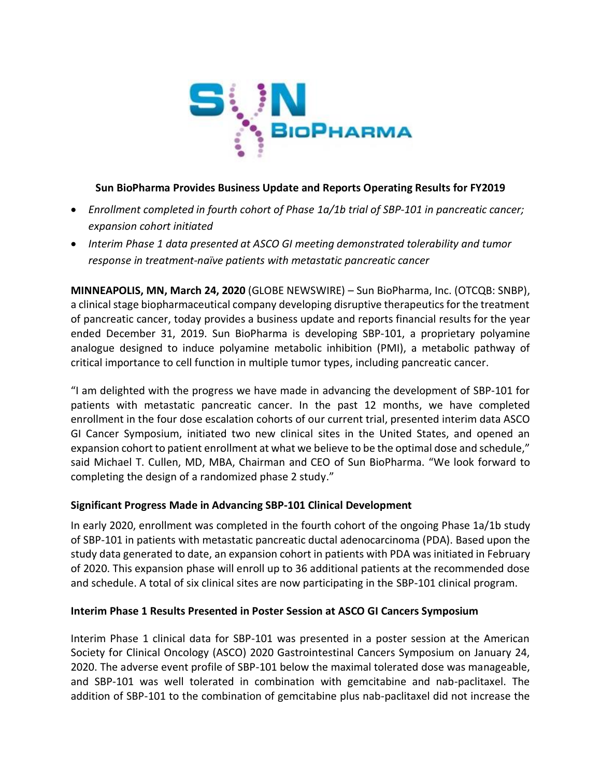

#### **Sun BioPharma Provides Business Update and Reports Operating Results for FY2019**

- *Enrollment completed in fourth cohort of Phase 1a/1b trial of SBP-101 in pancreatic cancer; expansion cohort initiated*
- *Interim Phase 1 data presented at ASCO GI meeting demonstrated tolerability and tumor response in treatment-naïve patients with metastatic pancreatic cancer*

**MINNEAPOLIS, MN, March 24, 2020** (GLOBE NEWSWIRE) – Sun BioPharma, Inc. (OTCQB: SNBP), a clinical stage biopharmaceutical company developing disruptive therapeutics for the treatment of pancreatic cancer, today provides a business update and reports financial results for the year ended December 31, 2019. Sun BioPharma is developing SBP-101, a proprietary polyamine analogue designed to induce polyamine metabolic inhibition (PMI), a metabolic pathway of critical importance to cell function in multiple tumor types, including pancreatic cancer.

"I am delighted with the progress we have made in advancing the development of SBP-101 for patients with metastatic pancreatic cancer. In the past 12 months, we have completed enrollment in the four dose escalation cohorts of our current trial, presented interim data ASCO GI Cancer Symposium, initiated two new clinical sites in the United States, and opened an expansion cohort to patient enrollment at what we believe to be the optimal dose and schedule," said Michael T. Cullen, MD, MBA, Chairman and CEO of Sun BioPharma. "We look forward to completing the design of a randomized phase 2 study."

## **Significant Progress Made in Advancing SBP-101 Clinical Development**

In early 2020, enrollment was completed in the fourth cohort of the ongoing Phase 1a/1b study of SBP-101 in patients with metastatic pancreatic ductal adenocarcinoma (PDA). Based upon the study data generated to date, an expansion cohort in patients with PDA was initiated in February of 2020. This expansion phase will enroll up to 36 additional patients at the recommended dose and schedule. A total of six clinical sites are now participating in the SBP-101 clinical program.

## **Interim Phase 1 Results Presented in Poster Session at ASCO GI Cancers Symposium**

Interim Phase 1 clinical data for SBP-101 was presented in a poster session at the American Society for Clinical Oncology (ASCO) 2020 Gastrointestinal Cancers Symposium on January 24, 2020. The adverse event profile of SBP-101 below the maximal tolerated dose was manageable, and SBP-101 was well tolerated in combination with gemcitabine and nab-paclitaxel. The addition of SBP-101 to the combination of gemcitabine plus nab-paclitaxel did not increase the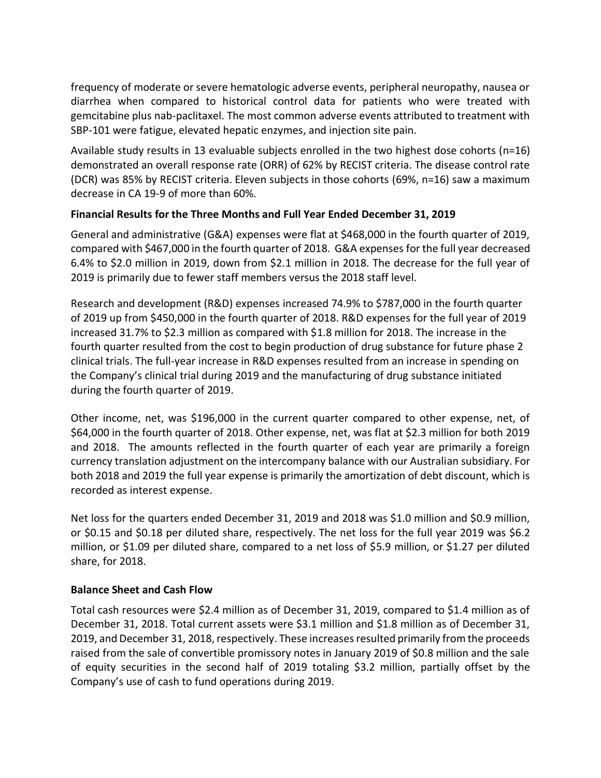frequency of moderate or severe hematologic adverse events, peripheral neuropathy, nausea or diarrhea when compared to historical control data for patients who were treated with gemcitabine plus nab-paclitaxel. The most common adverse events attributed to treatment with SBP-101 were fatigue, elevated hepatic enzymes, and injection site pain.

Available study results in 13 evaluable subjects enrolled in the two highest dose cohorts (n=16) demonstrated an overall response rate (ORR) of 62% by RECIST criteria. The disease control rate (DCR) was 85% by RECIST criteria. Eleven subjects in those cohorts (69%, n=16) saw a maximum decrease in CA 19-9 of more than 60%.

## **Financial Results for the Three Months and Full Year Ended December 31, 2019**

General and administrative (G&A) expenses were flat at \$468,000 in the fourth quarter of 2019, compared with \$467,000 in the fourth quarter of 2018. G&A expenses for the full year decreased 6.4% to \$2.0 million in 2019, down from \$2.1 million in 2018. The decrease for the full year of 2019 is primarily due to fewer staff members versus the 2018 staff level.

Research and development (R&D) expenses increased 74.9% to \$787,000 in the fourth quarter of 2019 up from \$450,000 in the fourth quarter of 2018. R&D expenses for the full year of 2019 increased 31.7% to \$2.3 million as compared with \$1.8 million for 2018. The increase in the fourth quarter resulted from the cost to begin production of drug substance for future phase 2 clinical trials. The full-year increase in R&D expenses resulted from an increase in spending on the Company's clinical trial during 2019 and the manufacturing of drug substance initiated during the fourth quarter of 2019.

Other income, net, was \$196,000 in the current quarter compared to other expense, net, of \$64,000 in the fourth quarter of 2018. Other expense, net, was flat at \$2.3 million for both 2019 and 2018. The amounts reflected in the fourth quarter of each year are primarily a foreign currency translation adjustment on the intercompany balance with our Australian subsidiary. For both 2018 and 2019 the full year expense is primarily the amortization of debt discount, which is recorded as interest expense.

Net loss for the quarters ended December 31, 2019 and 2018 was \$1.0 million and \$0.9 million, or \$0.15 and \$0.18 per diluted share, respectively. The net loss for the full year 2019 was \$6.2 million, or \$1.09 per diluted share, compared to a net loss of \$5.9 million, or \$1.27 per diluted share, for 2018.

#### **Balance Sheet and Cash Flow**

Total cash resources were \$2.4 million as of December 31, 2019, compared to \$1.4 million as of December 31, 2018. Total current assets were \$3.1 million and \$1.8 million as of December 31, 2019, and December 31, 2018, respectively. These increases resulted primarily from the proceeds raised from the sale of convertible promissory notes in January 2019 of \$0.8 million and the sale of equity securities in the second half of 2019 totaling \$3.2 million, partially offset by the Company's use of cash to fund operations during 2019.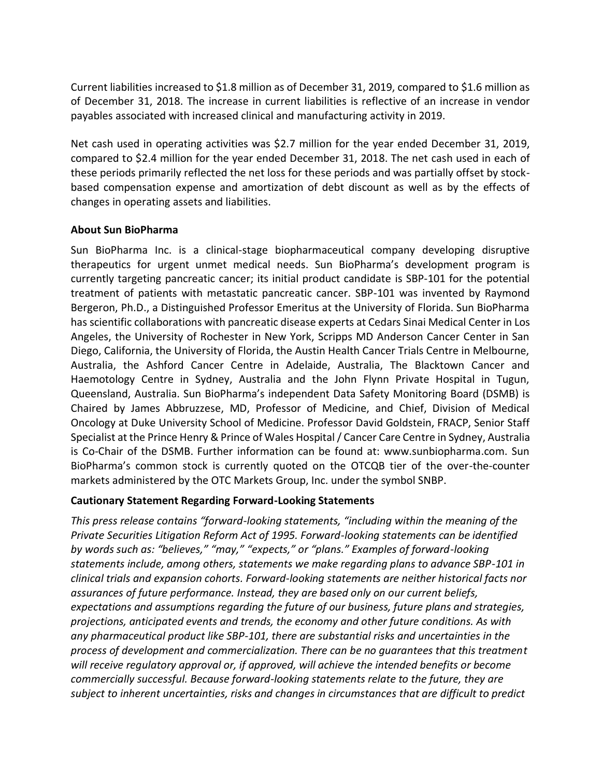Current liabilities increased to \$1.8 million as of December 31, 2019, compared to \$1.6 million as of December 31, 2018. The increase in current liabilities is reflective of an increase in vendor payables associated with increased clinical and manufacturing activity in 2019.

Net cash used in operating activities was \$2.7 million for the year ended December 31, 2019, compared to \$2.4 million for the year ended December 31, 2018. The net cash used in each of these periods primarily reflected the net loss for these periods and was partially offset by stockbased compensation expense and amortization of debt discount as well as by the effects of changes in operating assets and liabilities.

#### **About Sun BioPharma**

Sun BioPharma Inc. is a clinical-stage biopharmaceutical company developing disruptive therapeutics for urgent unmet medical needs. Sun BioPharma's development program is currently targeting pancreatic cancer; its initial product candidate is SBP-101 for the potential treatment of patients with metastatic pancreatic cancer. SBP-101 was invented by Raymond Bergeron, Ph.D., a Distinguished Professor Emeritus at the University of Florida. Sun BioPharma has scientific collaborations with pancreatic disease experts at Cedars Sinai Medical Center in Los Angeles, the University of Rochester in New York, Scripps MD Anderson Cancer Center in San Diego, California, the University of Florida, the Austin Health Cancer Trials Centre in Melbourne, Australia, the Ashford Cancer Centre in Adelaide, Australia, The Blacktown Cancer and Haemotology Centre in Sydney, Australia and the John Flynn Private Hospital in Tugun, Queensland, Australia. Sun BioPharma's independent Data Safety Monitoring Board (DSMB) is Chaired by James Abbruzzese, MD, Professor of Medicine, and Chief, Division of Medical Oncology at Duke University School of Medicine. Professor David Goldstein, FRACP, Senior Staff Specialist at the Prince Henry & Prince of Wales Hospital / Cancer Care Centre in Sydney, Australia is Co-Chair of the DSMB. Further information can be found at: www.sunbiopharma.com. Sun BioPharma's common stock is currently quoted on the OTCQB tier of the over-the-counter markets administered by the OTC Markets Group, Inc. under the symbol SNBP.

## **Cautionary Statement Regarding Forward-Looking Statements**

*This press release contains "forward-looking statements, "including within the meaning of the Private Securities Litigation Reform Act of 1995. Forward-looking statements can be identified by words such as: "believes," "may," "expects," or "plans." Examples of forward-looking statements include, among others, statements we make regarding plans to advance SBP-101 in clinical trials and expansion cohorts. Forward-looking statements are neither historical facts nor assurances of future performance. Instead, they are based only on our current beliefs, expectations and assumptions regarding the future of our business, future plans and strategies, projections, anticipated events and trends, the economy and other future conditions. As with any pharmaceutical product like SBP-101, there are substantial risks and uncertainties in the process of development and commercialization. There can be no guarantees that this treatment will receive regulatory approval or, if approved, will achieve the intended benefits or become commercially successful. Because forward-looking statements relate to the future, they are subject to inherent uncertainties, risks and changes in circumstances that are difficult to predict*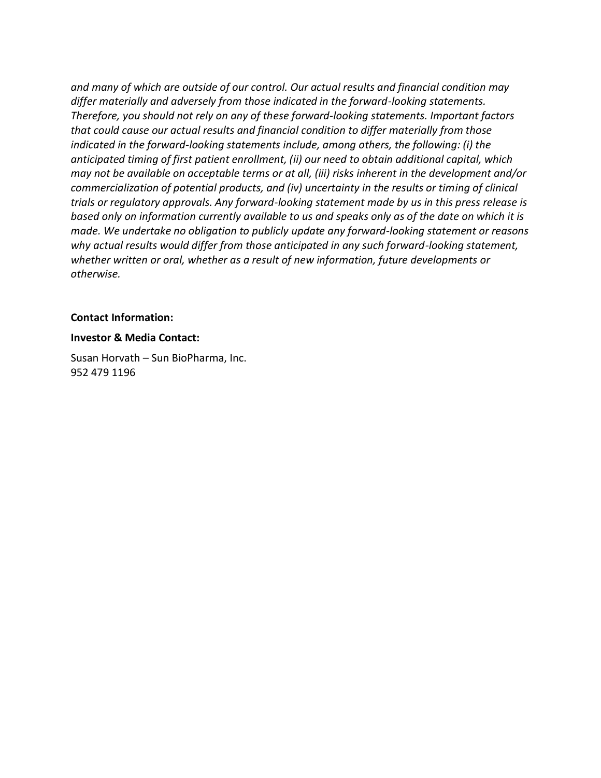*and many of which are outside of our control. Our actual results and financial condition may differ materially and adversely from those indicated in the forward-looking statements. Therefore, you should not rely on any of these forward-looking statements. Important factors that could cause our actual results and financial condition to differ materially from those indicated in the forward-looking statements include, among others, the following: (i) the anticipated timing of first patient enrollment, (ii) our need to obtain additional capital, which may not be available on acceptable terms or at all, (iii) risks inherent in the development and/or commercialization of potential products, and (iv) uncertainty in the results or timing of clinical trials or regulatory approvals. Any forward-looking statement made by us in this press release is based only on information currently available to us and speaks only as of the date on which it is made. We undertake no obligation to publicly update any forward-looking statement or reasons why actual results would differ from those anticipated in any such forward-looking statement, whether written or oral, whether as a result of new information, future developments or otherwise.* 

#### **Contact Information:**

#### **Investor & Media Contact:**

Susan Horvath – Sun BioPharma, Inc. 952 479 1196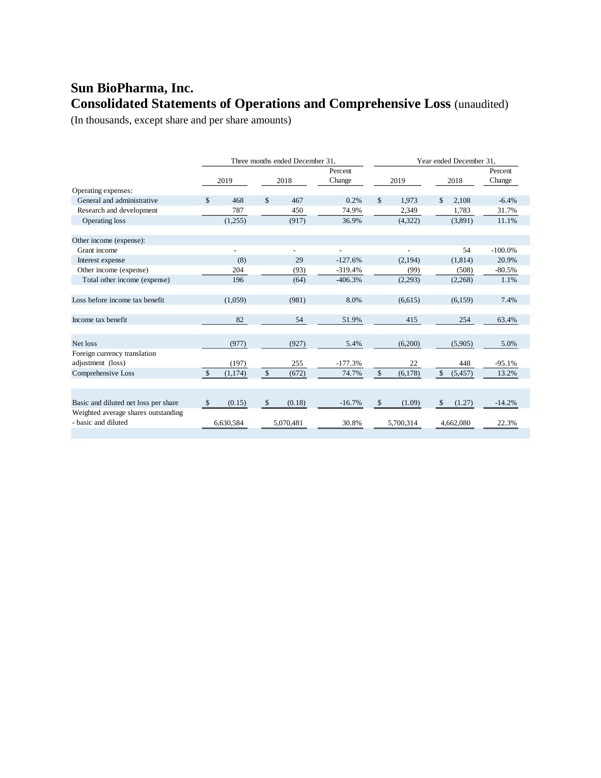# **Sun BioPharma, Inc. Consolidated Statements of Operations and Comprehensive Loss** (unaudited)

(In thousands, except share and per share amounts)

|                                      |              | Three months ended December 31, |    |           |           | Year ended December 31, |           |              |           |            |
|--------------------------------------|--------------|---------------------------------|----|-----------|-----------|-------------------------|-----------|--------------|-----------|------------|
|                                      |              |                                 |    |           | Percent   |                         |           |              |           | Percent    |
|                                      |              | 2019                            |    | 2018      | Change    | 2019                    |           | 2018         |           | Change     |
| Operating expenses:                  |              |                                 |    |           |           |                         |           |              |           |            |
| General and administrative           | \$           | 468                             | \$ | 467       | 0.2%      | $\mathbb{S}$            | 1,973     | \$           | 2,108     | $-6.4%$    |
| Research and development             |              | 787                             |    | 450       | 74.9%     |                         | 2,349     |              | 1,783     | 31.7%      |
| Operating loss                       |              | (1,255)                         |    | (917)     | 36.9%     |                         | (4,322)   |              | (3,891)   | 11.1%      |
|                                      |              |                                 |    |           |           |                         |           |              |           |            |
| Other income (expense):              |              |                                 |    |           |           |                         |           |              |           |            |
| Grant income                         |              |                                 |    |           | ٠         |                         |           |              | 54        | $-100.0\%$ |
| Interest expense                     |              | (8)                             |    | 29        | $-127.6%$ |                         | (2,194)   |              | (1,814)   | 20.9%      |
| Other income (expense)               |              | 204                             |    | (93)      | $-319.4%$ |                         | (99)      |              | (508)     | $-80.5%$   |
| Total other income (expense)         |              | 196                             |    | (64)      | $-406.3%$ |                         | (2,293)   |              | (2,268)   | 1.1%       |
|                                      |              |                                 |    |           |           |                         |           |              |           |            |
| Loss before income tax benefit       |              | (1,059)                         |    | (981)     | 8.0%      |                         | (6,615)   |              | (6,159)   | 7.4%       |
|                                      |              |                                 |    |           |           |                         |           |              |           |            |
| Income tax benefit                   |              | 82                              |    | 54        | 51.9%     |                         | 415       |              | 254       | 63.4%      |
|                                      |              |                                 |    |           |           |                         |           |              |           |            |
| Net loss                             |              | (977)                           |    | (927)     | 5.4%      |                         | (6,200)   |              | (5,905)   | 5.0%       |
| Foreign currency translation         |              |                                 |    |           |           |                         |           |              |           |            |
| adjustment (loss)                    |              | (197)                           |    | 255       | $-177.3%$ |                         | 22        |              | 448       | $-95.1%$   |
| Comprehensive Loss                   | $\mathbb{S}$ | (1,174)                         | \$ | (672)     | 74.7%     | $\mathbb{S}$            | (6,178)   | $\mathbb{S}$ | (5, 457)  | 13.2%      |
|                                      |              |                                 |    |           |           |                         |           |              |           |            |
|                                      |              |                                 |    |           |           |                         |           |              |           |            |
| Basic and diluted net loss per share | $\mathbb{S}$ | (0.15)                          | \$ | (0.18)    | $-16.7%$  | \$                      | (1.09)    | \$           | (1.27)    | $-14.2%$   |
| Weighted average shares outstanding  |              |                                 |    |           |           |                         |           |              |           |            |
| - basic and diluted                  |              | 6,630,584                       |    | 5.070.481 | 30.8%     |                         | 5,700,314 |              | 4,662,080 | 22.3%      |
|                                      |              |                                 |    |           |           |                         |           |              |           |            |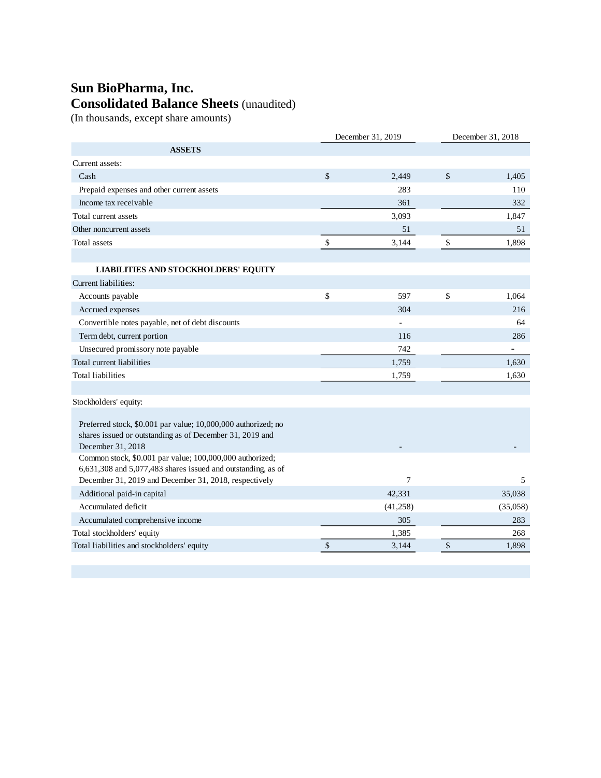# **Sun BioPharma, Inc. Consolidated Balance Sheets** (unaudited)

(In thousands, except share amounts)

| <b>ASSETS</b><br>Current assets:<br>$\mathcal{S}$<br>$\mathcal{S}$<br>2.449<br>Cash<br>1.405<br>283<br>110<br>Prepaid expenses and other current assets<br>Income tax receivable<br>361<br>332<br>Total current assets<br>3,093<br>1,847<br>Other noncurrent assets<br>51<br>51<br>$\mathcal{S}$<br>$\sqrt{3}$<br>3,144<br>1,898<br>Total assets<br><b>LIABILITIES AND STOCKHOLDERS' EQUITY</b><br>Current liabilities:<br>\$<br>\$<br>597<br>1.064<br>Accounts payable<br>Accrued expenses<br>304<br>216<br>Convertible notes payable, net of debt discounts<br>64<br>116<br>286<br>Term debt, current portion<br>Unsecured promissory note payable<br>742<br>Total current liabilities<br>1,759<br>1,630<br><b>Total liabilities</b><br>1,630<br>1,759<br>Stockholders' equity:<br>Preferred stock, \$0.001 par value; 10,000,000 authorized; no<br>shares issued or outstanding as of December 31, 2019 and<br>December 31, 2018<br>Common stock, \$0.001 par value; 100,000,000 authorized;<br>6,631,308 and 5,077,483 shares issued and outstanding, as of<br>December 31, 2019 and December 31, 2018, respectively<br>$\overline{7}$<br>5<br>Additional paid-in capital<br>42,331<br>35,038<br>Accumulated deficit<br>(41, 258)<br>(35,058)<br>305<br>283<br>Accumulated comprehensive income<br>Total stockholders' equity<br>1.385<br>268<br>Total liabilities and stockholders' equity<br>\$<br>\$<br>3,144<br>1,898 | December 31, 2019 |  | December 31, 2018 |  |
|-------------------------------------------------------------------------------------------------------------------------------------------------------------------------------------------------------------------------------------------------------------------------------------------------------------------------------------------------------------------------------------------------------------------------------------------------------------------------------------------------------------------------------------------------------------------------------------------------------------------------------------------------------------------------------------------------------------------------------------------------------------------------------------------------------------------------------------------------------------------------------------------------------------------------------------------------------------------------------------------------------------------------------------------------------------------------------------------------------------------------------------------------------------------------------------------------------------------------------------------------------------------------------------------------------------------------------------------------------------------------------------------------------------------------------|-------------------|--|-------------------|--|
|                                                                                                                                                                                                                                                                                                                                                                                                                                                                                                                                                                                                                                                                                                                                                                                                                                                                                                                                                                                                                                                                                                                                                                                                                                                                                                                                                                                                                               |                   |  |                   |  |
|                                                                                                                                                                                                                                                                                                                                                                                                                                                                                                                                                                                                                                                                                                                                                                                                                                                                                                                                                                                                                                                                                                                                                                                                                                                                                                                                                                                                                               |                   |  |                   |  |
|                                                                                                                                                                                                                                                                                                                                                                                                                                                                                                                                                                                                                                                                                                                                                                                                                                                                                                                                                                                                                                                                                                                                                                                                                                                                                                                                                                                                                               |                   |  |                   |  |
|                                                                                                                                                                                                                                                                                                                                                                                                                                                                                                                                                                                                                                                                                                                                                                                                                                                                                                                                                                                                                                                                                                                                                                                                                                                                                                                                                                                                                               |                   |  |                   |  |
|                                                                                                                                                                                                                                                                                                                                                                                                                                                                                                                                                                                                                                                                                                                                                                                                                                                                                                                                                                                                                                                                                                                                                                                                                                                                                                                                                                                                                               |                   |  |                   |  |
|                                                                                                                                                                                                                                                                                                                                                                                                                                                                                                                                                                                                                                                                                                                                                                                                                                                                                                                                                                                                                                                                                                                                                                                                                                                                                                                                                                                                                               |                   |  |                   |  |
|                                                                                                                                                                                                                                                                                                                                                                                                                                                                                                                                                                                                                                                                                                                                                                                                                                                                                                                                                                                                                                                                                                                                                                                                                                                                                                                                                                                                                               |                   |  |                   |  |
|                                                                                                                                                                                                                                                                                                                                                                                                                                                                                                                                                                                                                                                                                                                                                                                                                                                                                                                                                                                                                                                                                                                                                                                                                                                                                                                                                                                                                               |                   |  |                   |  |
|                                                                                                                                                                                                                                                                                                                                                                                                                                                                                                                                                                                                                                                                                                                                                                                                                                                                                                                                                                                                                                                                                                                                                                                                                                                                                                                                                                                                                               |                   |  |                   |  |
|                                                                                                                                                                                                                                                                                                                                                                                                                                                                                                                                                                                                                                                                                                                                                                                                                                                                                                                                                                                                                                                                                                                                                                                                                                                                                                                                                                                                                               |                   |  |                   |  |
|                                                                                                                                                                                                                                                                                                                                                                                                                                                                                                                                                                                                                                                                                                                                                                                                                                                                                                                                                                                                                                                                                                                                                                                                                                                                                                                                                                                                                               |                   |  |                   |  |
|                                                                                                                                                                                                                                                                                                                                                                                                                                                                                                                                                                                                                                                                                                                                                                                                                                                                                                                                                                                                                                                                                                                                                                                                                                                                                                                                                                                                                               |                   |  |                   |  |
|                                                                                                                                                                                                                                                                                                                                                                                                                                                                                                                                                                                                                                                                                                                                                                                                                                                                                                                                                                                                                                                                                                                                                                                                                                                                                                                                                                                                                               |                   |  |                   |  |
|                                                                                                                                                                                                                                                                                                                                                                                                                                                                                                                                                                                                                                                                                                                                                                                                                                                                                                                                                                                                                                                                                                                                                                                                                                                                                                                                                                                                                               |                   |  |                   |  |
|                                                                                                                                                                                                                                                                                                                                                                                                                                                                                                                                                                                                                                                                                                                                                                                                                                                                                                                                                                                                                                                                                                                                                                                                                                                                                                                                                                                                                               |                   |  |                   |  |
|                                                                                                                                                                                                                                                                                                                                                                                                                                                                                                                                                                                                                                                                                                                                                                                                                                                                                                                                                                                                                                                                                                                                                                                                                                                                                                                                                                                                                               |                   |  |                   |  |
|                                                                                                                                                                                                                                                                                                                                                                                                                                                                                                                                                                                                                                                                                                                                                                                                                                                                                                                                                                                                                                                                                                                                                                                                                                                                                                                                                                                                                               |                   |  |                   |  |
|                                                                                                                                                                                                                                                                                                                                                                                                                                                                                                                                                                                                                                                                                                                                                                                                                                                                                                                                                                                                                                                                                                                                                                                                                                                                                                                                                                                                                               |                   |  |                   |  |
|                                                                                                                                                                                                                                                                                                                                                                                                                                                                                                                                                                                                                                                                                                                                                                                                                                                                                                                                                                                                                                                                                                                                                                                                                                                                                                                                                                                                                               |                   |  |                   |  |
|                                                                                                                                                                                                                                                                                                                                                                                                                                                                                                                                                                                                                                                                                                                                                                                                                                                                                                                                                                                                                                                                                                                                                                                                                                                                                                                                                                                                                               |                   |  |                   |  |
|                                                                                                                                                                                                                                                                                                                                                                                                                                                                                                                                                                                                                                                                                                                                                                                                                                                                                                                                                                                                                                                                                                                                                                                                                                                                                                                                                                                                                               |                   |  |                   |  |
|                                                                                                                                                                                                                                                                                                                                                                                                                                                                                                                                                                                                                                                                                                                                                                                                                                                                                                                                                                                                                                                                                                                                                                                                                                                                                                                                                                                                                               |                   |  |                   |  |
|                                                                                                                                                                                                                                                                                                                                                                                                                                                                                                                                                                                                                                                                                                                                                                                                                                                                                                                                                                                                                                                                                                                                                                                                                                                                                                                                                                                                                               |                   |  |                   |  |
|                                                                                                                                                                                                                                                                                                                                                                                                                                                                                                                                                                                                                                                                                                                                                                                                                                                                                                                                                                                                                                                                                                                                                                                                                                                                                                                                                                                                                               |                   |  |                   |  |
|                                                                                                                                                                                                                                                                                                                                                                                                                                                                                                                                                                                                                                                                                                                                                                                                                                                                                                                                                                                                                                                                                                                                                                                                                                                                                                                                                                                                                               |                   |  |                   |  |
|                                                                                                                                                                                                                                                                                                                                                                                                                                                                                                                                                                                                                                                                                                                                                                                                                                                                                                                                                                                                                                                                                                                                                                                                                                                                                                                                                                                                                               |                   |  |                   |  |
|                                                                                                                                                                                                                                                                                                                                                                                                                                                                                                                                                                                                                                                                                                                                                                                                                                                                                                                                                                                                                                                                                                                                                                                                                                                                                                                                                                                                                               |                   |  |                   |  |